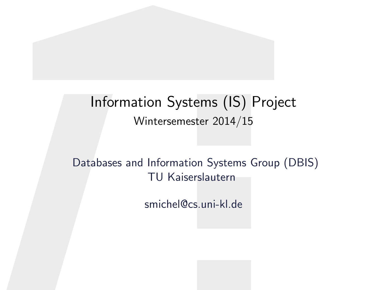### Information Systems (IS) Project Wintersemester 2014/15

Databases and Information Systems Group (DBIS) TU Kaiserslautern

smichel@cs.uni-kl.de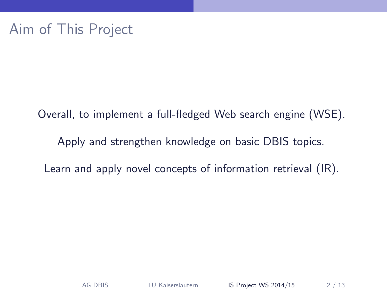Overall, to implement a full-fledged Web search engine (WSE). Apply and strengthen knowledge on basic DBIS topics. Learn and apply novel concepts of information retrieval (IR).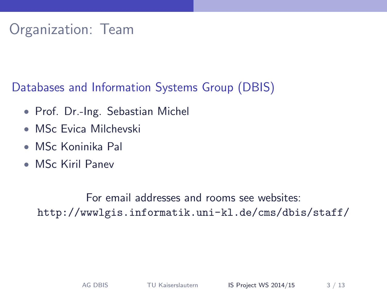# Organization: Team

Databases and Information Systems Group (DBIS)

- Prof. Dr.-Ing. Sebastian Michel
- MSc Evica Milchevski
- MSc Koninika Pal
- MSc Kiril Panev

For email addresses and rooms see websites: <http://wwwlgis.informatik.uni-kl.de/cms/dbis/staff/>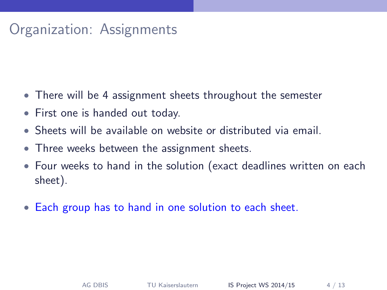## Organization: Assignments

- There will be 4 assignment sheets throughout the semester
- First one is handed out today.
- Sheets will be available on website or distributed via email.
- Three weeks between the assignment sheets.
- Four weeks to hand in the solution (exact deadlines written on each sheet).
- Each group has to hand in one solution to each sheet.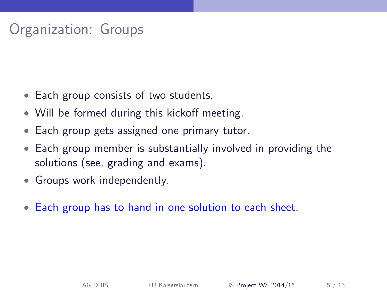# Organization: Groups

- Each group consists of two students.
- Will be formed during this kickoff meeting.
- Each group gets assigned one primary tutor.
- Each group member is substantially involved in providing the solutions (see, grading and exams).
- Groups work independently.
- Each group has to hand in one solution to each sheet.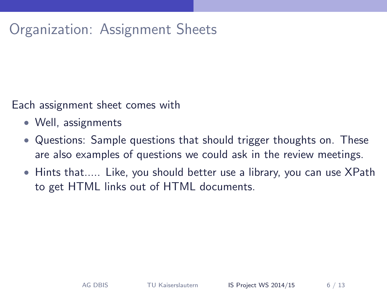# Organization: Assignment Sheets

Each assignment sheet comes with

- Well, assignments
- Questions: Sample questions that should trigger thoughts on. These are also examples of questions we could ask in the review meetings.
- Hints that..... Like, you should better use a library, you can use XPath to get HTML links out of HTML documents.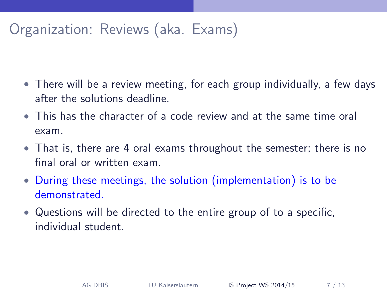# Organization: Reviews (aka. Exams)

- There will be a review meeting, for each group individually, a few days after the solutions deadline.
- This has the character of a code review and at the same time oral exam.
- That is, there are 4 oral exams throughout the semester; there is no final oral or written exam.
- During these meetings, the solution (implementation) is to be demonstrated.
- Questions will be directed to the entire group of to a specific, individual student.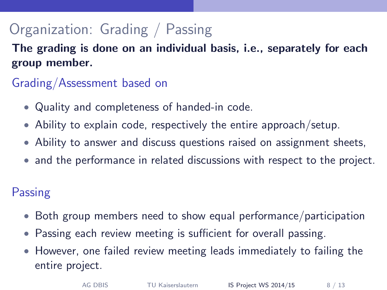# Organization: Grading / Passing

The grading is done on an individual basis, i.e., separately for each group member.

#### Grading/Assessment based on

- Quality and completeness of handed-in code.
- Ability to explain code, respectively the entire approach/setup.
- Ability to answer and discuss questions raised on assignment sheets,
- and the performance in related discussions with respect to the project.

#### **Passing**

- Both group members need to show equal performance/participation
- Passing each review meeting is sufficient for overall passing.
- However, one failed review meeting leads immediately to failing the entire project.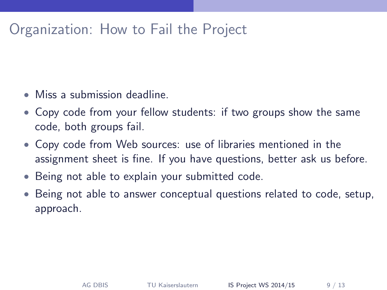### Organization: How to Fail the Project

- Miss a submission deadline.
- Copy code from your fellow students: if two groups show the same code, both groups fail.
- Copy code from Web sources: use of libraries mentioned in the assignment sheet is fine. If you have questions, better ask us before.
- Being not able to explain your submitted code.
- Being not able to answer conceptual questions related to code, setup, approach.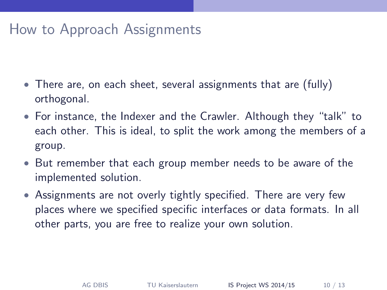### How to Approach Assignments

- There are, on each sheet, several assignments that are (fully) orthogonal.
- For instance, the Indexer and the Crawler. Although they "talk" to each other. This is ideal, to split the work among the members of a group.
- But remember that each group member needs to be aware of the implemented solution.
- Assignments are not overly tightly specified. There are very few places where we specified specific interfaces or data formats. In all other parts, you are free to realize your own solution.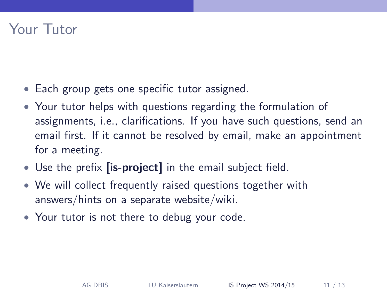### Your Tutor

- Each group gets one specific tutor assigned.
- Your tutor helps with questions regarding the formulation of assignments, i.e., clarifications. If you have such questions, send an email first. If it cannot be resolved by email, make an appointment for a meeting.
- Use the prefix *[is-project]* in the email subject field.
- We will collect frequently raised questions together with answers/hints on a separate website/wiki.
- Your tutor is not there to debug your code.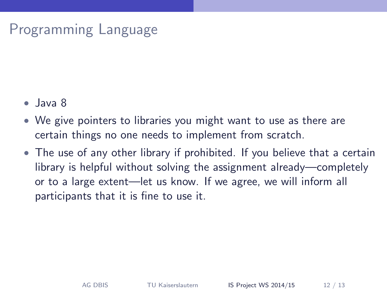# Programming Language

- Java 8
- We give pointers to libraries you might want to use as there are certain things no one needs to implement from scratch.
- The use of any other library if prohibited. If you believe that a certain library is helpful without solving the assignment already—completely or to a large extent—let us know. If we agree, we will inform all participants that it is fine to use it.